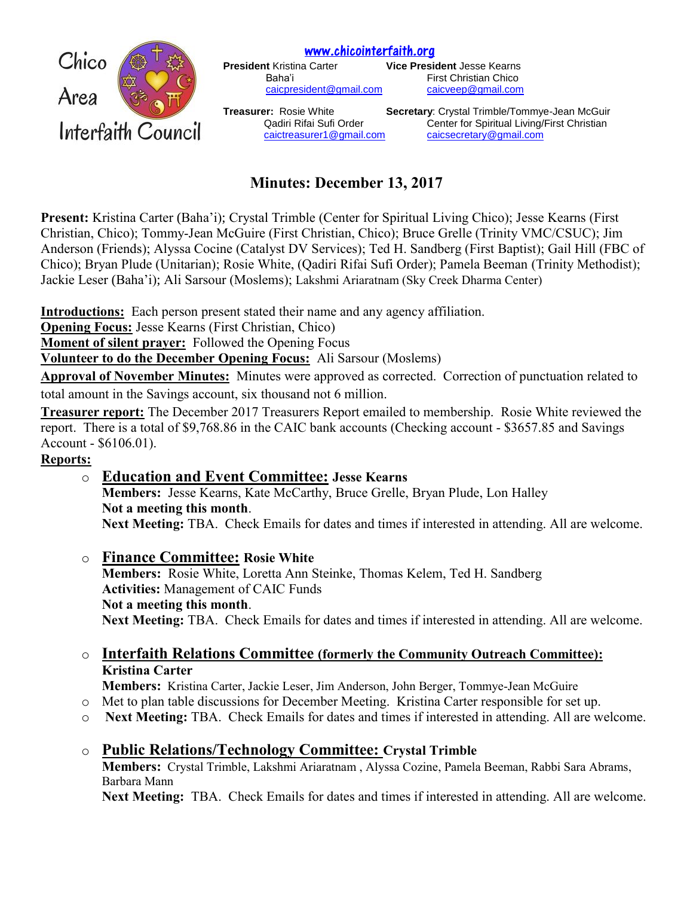[www.chicointerfaith.org](file:///C:/Users/CSL/Downloads/www.chicointerfaith.org)<br>President Kristina Carter **Dresse** 



**Vice President Jesse Kearns** Baha'i **Eirst Christian Chico** [caicpresident@gmail.com](mailto:caicpresident@gmail.com) [caicveep@gmail.com](mailto:caicveep@gmail.com)

**Treasurer:** Rosie White **Secretary**: Crystal Trimble/Tommye-Jean McGuir Qadiri Rifai Sufi Order Center for Spiritual Living/First Christian [caictreasurer1@gmail.com](mailto:caictreasurer1@gmail.com) [caicsecretary@gmail.com](mailto:caicsecretary@gmail.com)

# **Minutes: December 13, 2017**

**Present:** Kristina Carter (Baha'i); Crystal Trimble (Center for Spiritual Living Chico); Jesse Kearns (First Christian, Chico); Tommy-Jean McGuire (First Christian, Chico); Bruce Grelle (Trinity VMC/CSUC); Jim Anderson (Friends); Alyssa Cocine (Catalyst DV Services); Ted H. Sandberg (First Baptist); Gail Hill (FBC of Chico); Bryan Plude (Unitarian); Rosie White, (Qadiri Rifai Sufi Order); Pamela Beeman (Trinity Methodist); Jackie Leser (Baha'i); Ali Sarsour (Moslems); Lakshmi Ariaratnam (Sky Creek Dharma Center)

**Introductions:** Each person present stated their name and any agency affiliation.

**Opening Focus:** Jesse Kearns (First Christian, Chico)

**Moment of silent prayer:** Followed the Opening Focus

**Volunteer to do the December Opening Focus:** Ali Sarsour (Moslems)

**Approval of November Minutes:** Minutes were approved as corrected. Correction of punctuation related to total amount in the Savings account, six thousand not 6 million.

**Treasurer report:** The December 2017 Treasurers Report emailed to membership. Rosie White reviewed the report. There is a total of \$9,768.86 in the CAIC bank accounts (Checking account - \$3657.85 and Savings Account - \$6106.01).

### **Reports:**

- o **Education and Event Committee: Jesse Kearns Members:** Jesse Kearns, Kate McCarthy, Bruce Grelle, Bryan Plude, Lon Halley **Not a meeting this month**. **Next Meeting:** TBA. Check Emails for dates and times if interested in attending. All are welcome.
- o **Finance Committee: Rosie White Members:** Rosie White, Loretta Ann Steinke, Thomas Kelem, Ted H. Sandberg **Activities:** Management of CAIC Funds **Not a meeting this month**. **Next Meeting:** TBA. Check Emails for dates and times if interested in attending. All are welcome.
- o **Interfaith Relations Committee (formerly the Community Outreach Committee): Kristina Carter**

**Members:** Kristina Carter, Jackie Leser, Jim Anderson, John Berger, Tommye-Jean McGuire

- o Met to plan table discussions for December Meeting. Kristina Carter responsible for set up.
- o **Next Meeting:** TBA. Check Emails for dates and times if interested in attending. All are welcome.
- o **Public Relations/Technology Committee: Crystal Trimble**

**Members:** Crystal Trimble, Lakshmi Ariaratnam , Alyssa Cozine, Pamela Beeman, Rabbi Sara Abrams, Barbara Mann

**Next Meeting:** TBA. Check Emails for dates and times if interested in attending. All are welcome.